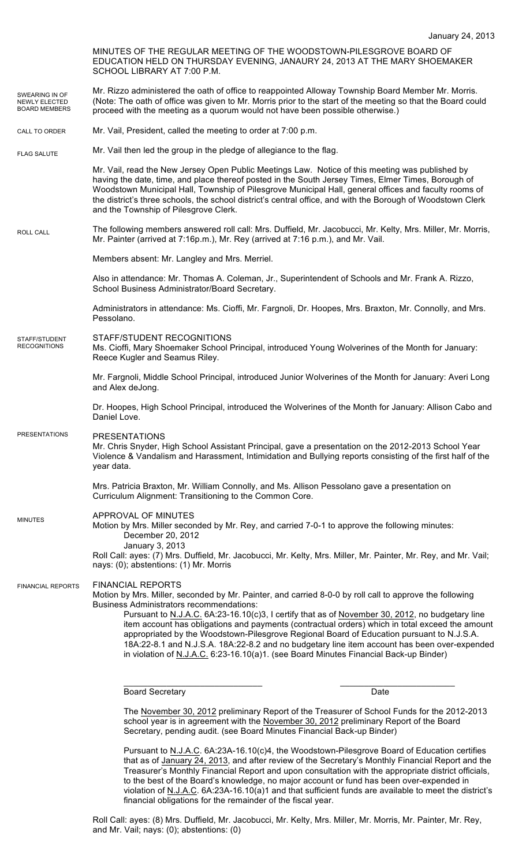|                                                                | SCHOOL LIBRARY AT 7:00 P.M.                                                                                                  | MINUTES OF THE REGULAR MEETING OF THE WOODSTOWN-PILESGROVE BOARD OF<br>EDUCATION HELD ON THURSDAY EVENING, JANAURY 24, 2013 AT THE MARY SHOEMAKER                                                                                                                                                                                                                                                                                                                                                                                                                                                   |  |
|----------------------------------------------------------------|------------------------------------------------------------------------------------------------------------------------------|-----------------------------------------------------------------------------------------------------------------------------------------------------------------------------------------------------------------------------------------------------------------------------------------------------------------------------------------------------------------------------------------------------------------------------------------------------------------------------------------------------------------------------------------------------------------------------------------------------|--|
| SWEARING IN OF<br><b>NEWLY ELECTED</b><br><b>BOARD MEMBERS</b> | proceed with the meeting as a quorum would not have been possible otherwise.)                                                | Mr. Rizzo administered the oath of office to reappointed Alloway Township Board Member Mr. Morris.<br>(Note: The oath of office was given to Mr. Morris prior to the start of the meeting so that the Board could                                                                                                                                                                                                                                                                                                                                                                                   |  |
| CALL TO ORDER                                                  | Mr. Vail, President, called the meeting to order at 7:00 p.m.                                                                |                                                                                                                                                                                                                                                                                                                                                                                                                                                                                                                                                                                                     |  |
| <b>FLAG SALUTE</b>                                             | Mr. Vail then led the group in the pledge of allegiance to the flag.                                                         |                                                                                                                                                                                                                                                                                                                                                                                                                                                                                                                                                                                                     |  |
|                                                                | and the Township of Pilesgrove Clerk.                                                                                        | Mr. Vail, read the New Jersey Open Public Meetings Law. Notice of this meeting was published by<br>having the date, time, and place thereof posted in the South Jersey Times, Elmer Times, Borough of<br>Woodstown Municipal Hall, Township of Pilesgrove Municipal Hall, general offices and faculty rooms of<br>the district's three schools, the school district's central office, and with the Borough of Woodstown Clerk                                                                                                                                                                       |  |
| <b>ROLL CALL</b>                                               | Mr. Painter (arrived at 7:16p.m.), Mr. Rey (arrived at 7:16 p.m.), and Mr. Vail.                                             | The following members answered roll call: Mrs. Duffield, Mr. Jacobucci, Mr. Kelty, Mrs. Miller, Mr. Morris,                                                                                                                                                                                                                                                                                                                                                                                                                                                                                         |  |
|                                                                | Members absent: Mr. Langley and Mrs. Merriel.                                                                                |                                                                                                                                                                                                                                                                                                                                                                                                                                                                                                                                                                                                     |  |
|                                                                | School Business Administrator/Board Secretary.                                                                               | Also in attendance: Mr. Thomas A. Coleman, Jr., Superintendent of Schools and Mr. Frank A. Rizzo,                                                                                                                                                                                                                                                                                                                                                                                                                                                                                                   |  |
|                                                                | Pessolano.                                                                                                                   | Administrators in attendance: Ms. Cioffi, Mr. Fargnoli, Dr. Hoopes, Mrs. Braxton, Mr. Connolly, and Mrs.                                                                                                                                                                                                                                                                                                                                                                                                                                                                                            |  |
| STAFF/STUDENT<br><b>RECOGNITIONS</b>                           | STAFF/STUDENT RECOGNITIONS<br>Reece Kugler and Seamus Riley.                                                                 | Ms. Cioffi, Mary Shoemaker School Principal, introduced Young Wolverines of the Month for January:                                                                                                                                                                                                                                                                                                                                                                                                                                                                                                  |  |
|                                                                | Mr. Fargnoli, Middle School Principal, introduced Junior Wolverines of the Month for January: Averi Long<br>and Alex deJong. |                                                                                                                                                                                                                                                                                                                                                                                                                                                                                                                                                                                                     |  |
|                                                                | Daniel Love.                                                                                                                 | Dr. Hoopes, High School Principal, introduced the Wolverines of the Month for January: Allison Cabo and                                                                                                                                                                                                                                                                                                                                                                                                                                                                                             |  |
| <b>PRESENTATIONS</b>                                           | <b>PRESENTATIONS</b><br>year data.                                                                                           | Mr. Chris Snyder, High School Assistant Principal, gave a presentation on the 2012-2013 School Year<br>Violence & Vandalism and Harassment, Intimidation and Bullying reports consisting of the first half of the                                                                                                                                                                                                                                                                                                                                                                                   |  |
|                                                                | Curriculum Alignment: Transitioning to the Common Core.                                                                      | Mrs. Patricia Braxton, Mr. William Connolly, and Ms. Allison Pessolano gave a presentation on                                                                                                                                                                                                                                                                                                                                                                                                                                                                                                       |  |
| <b>MINUTES</b>                                                 | APPROVAL OF MINUTES<br>December 20, 2012<br>January 3, 2013                                                                  | Motion by Mrs. Miller seconded by Mr. Rey, and carried 7-0-1 to approve the following minutes:                                                                                                                                                                                                                                                                                                                                                                                                                                                                                                      |  |
|                                                                | nays: (0); abstentions: (1) Mr. Morris                                                                                       | Roll Call: ayes: (7) Mrs. Duffield, Mr. Jacobucci, Mr. Kelty, Mrs. Miller, Mr. Painter, Mr. Rey, and Mr. Vail;                                                                                                                                                                                                                                                                                                                                                                                                                                                                                      |  |
| <b>FINANCIAL REPORTS</b>                                       | <b>FINANCIAL REPORTS</b><br><b>Business Administrators recommendations:</b>                                                  | Motion by Mrs. Miller, seconded by Mr. Painter, and carried 8-0-0 by roll call to approve the following<br>Pursuant to N.J.A.C. 6A:23-16.10(c)3, I certify that as of November 30, 2012, no budgetary line<br>item account has obligations and payments (contractual orders) which in total exceed the amount<br>appropriated by the Woodstown-Pilesgrove Regional Board of Education pursuant to N.J.S.A.<br>18A:22-8.1 and N.J.S.A. 18A:22-8.2 and no budgetary line item account has been over-expended<br>in violation of N.J.A.C. 6:23-16.10(a)1. (see Board Minutes Financial Back-up Binder) |  |
|                                                                | <b>Board Secretary</b>                                                                                                       |                                                                                                                                                                                                                                                                                                                                                                                                                                                                                                                                                                                                     |  |
|                                                                |                                                                                                                              | Date                                                                                                                                                                                                                                                                                                                                                                                                                                                                                                                                                                                                |  |

The November 30, 2012 preliminary Report of the Treasurer of School Funds for the 2012-2013 school year is in agreement with the November 30, 2012 preliminary Report of the Board Secretary, pending audit. (see Board Minutes Financial Back-up Binder)

Pursuant to N.J.A.C. 6A:23A-16.10(c)4, the Woodstown-Pilesgrove Board of Education certifies that as of January 24, 2013, and after review of the Secretary's Monthly Financial Report and the Treasurer's Monthly Financial Report and upon consultation with the appropriate district officials, to the best of the Board's knowledge, no major account or fund has been over-expended in violation of N.J.A.C. 6A:23A-16.10(a)1 and that sufficient funds are available to meet the district's financial obligations for the remainder of the fiscal year.

Roll Call: ayes: (8) Mrs. Duffield, Mr. Jacobucci, Mr. Kelty, Mrs. Miller, Mr. Morris, Mr. Painter, Mr. Rey, and Mr. Vail; nays: (0); abstentions: (0)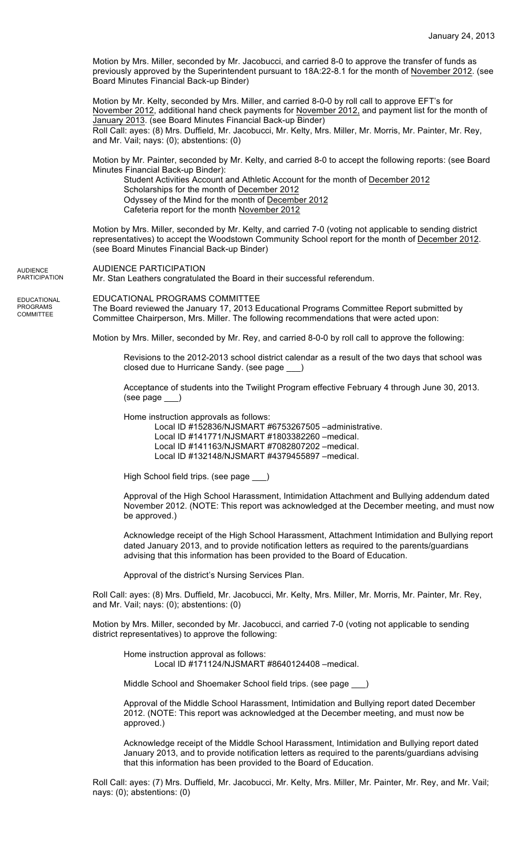Motion by Mrs. Miller, seconded by Mr. Jacobucci, and carried 8-0 to approve the transfer of funds as previously approved by the Superintendent pursuant to 18A:22-8.1 for the month of November 2012. (see Board Minutes Financial Back-up Binder)

Motion by Mr. Kelty, seconded by Mrs. Miller, and carried 8-0-0 by roll call to approve EFT's for November 2012, additional hand check payments for November 2012, and payment list for the month of January 2013. (see Board Minutes Financial Back-up Binder) Roll Call: ayes: (8) Mrs. Duffield, Mr. Jacobucci, Mr. Kelty, Mrs. Miller, Mr. Morris, Mr. Painter, Mr. Rey, and Mr. Vail; nays: (0); abstentions: (0)

Motion by Mr. Painter, seconded by Mr. Kelty, and carried 8-0 to accept the following reports: (see Board Minutes Financial Back-up Binder):

Student Activities Account and Athletic Account for the month of December 2012 Scholarships for the month of December 2012 Odyssey of the Mind for the month of December 2012 Cafeteria report for the month November 2012

Motion by Mrs. Miller, seconded by Mr. Kelty, and carried 7-0 (voting not applicable to sending district representatives) to accept the Woodstown Community School report for the month of December 2012. (see Board Minutes Financial Back-up Binder)

AUDIENCE PARTICIPATION Mr. Stan Leathers congratulated the Board in their successful referendum. **AUDIENCE** PARTICIPATION

EDUCATIONAL

PROGRAMS **COMMITTEE**  EDUCATIONAL PROGRAMS COMMITTEE

The Board reviewed the January 17, 2013 Educational Programs Committee Report submitted by Committee Chairperson, Mrs. Miller. The following recommendations that were acted upon:

Motion by Mrs. Miller, seconded by Mr. Rey, and carried 8-0-0 by roll call to approve the following:

Revisions to the 2012-2013 school district calendar as a result of the two days that school was closed due to Hurricane Sandy. (see page \_\_\_)

Acceptance of students into the Twilight Program effective February 4 through June 30, 2013. (see page \_\_\_)

Home instruction approvals as follows:

Local ID #152836/NJSMART #6753267505 –administrative. Local ID #141771/NJSMART #1803382260 –medical. Local ID #141163/NJSMART #7082807202 –medical. Local ID #132148/NJSMART #4379455897 –medical.

High School field trips. (see page \_\_\_)

Approval of the High School Harassment, Intimidation Attachment and Bullying addendum dated November 2012. (NOTE: This report was acknowledged at the December meeting, and must now be approved.)

Acknowledge receipt of the High School Harassment, Attachment Intimidation and Bullying report dated January 2013, and to provide notification letters as required to the parents/guardians advising that this information has been provided to the Board of Education.

Approval of the district's Nursing Services Plan.

Roll Call: ayes: (8) Mrs. Duffield, Mr. Jacobucci, Mr. Kelty, Mrs. Miller, Mr. Morris, Mr. Painter, Mr. Rey, and Mr. Vail; nays: (0); abstentions: (0)

Motion by Mrs. Miller, seconded by Mr. Jacobucci, and carried 7-0 (voting not applicable to sending district representatives) to approve the following:

Home instruction approval as follows: Local ID #171124/NJSMART #8640124408 –medical.

Middle School and Shoemaker School field trips. (see page \_\_\_)

Approval of the Middle School Harassment, Intimidation and Bullying report dated December 2012. (NOTE: This report was acknowledged at the December meeting, and must now be approved.)

Acknowledge receipt of the Middle School Harassment, Intimidation and Bullying report dated January 2013, and to provide notification letters as required to the parents/guardians advising that this information has been provided to the Board of Education.

Roll Call: ayes: (7) Mrs. Duffield, Mr. Jacobucci, Mr. Kelty, Mrs. Miller, Mr. Painter, Mr. Rey, and Mr. Vail; nays: (0); abstentions: (0)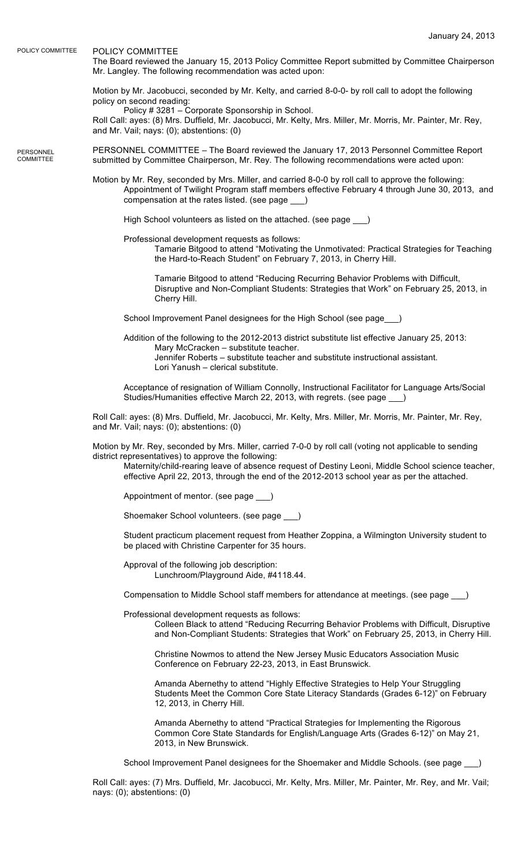POLICY COMMITTEE POLICY COMMITTEE

**PERSONNEL** COMMITTEE

The Board reviewed the January 15, 2013 Policy Committee Report submitted by Committee Chairperson Mr. Langley. The following recommendation was acted upon:

Motion by Mr. Jacobucci, seconded by Mr. Kelty, and carried 8-0-0- by roll call to adopt the following policy on second reading:

Policy # 3281 – Corporate Sponsorship in School. Roll Call: ayes: (8) Mrs. Duffield, Mr. Jacobucci, Mr. Kelty, Mrs. Miller, Mr. Morris, Mr. Painter, Mr. Rey, and Mr. Vail; nays: (0); abstentions: (0)

PERSONNEL COMMITTEE – The Board reviewed the January 17, 2013 Personnel Committee Report submitted by Committee Chairperson, Mr. Rey. The following recommendations were acted upon:

Motion by Mr. Rey, seconded by Mrs. Miller, and carried 8-0-0 by roll call to approve the following: Appointment of Twilight Program staff members effective February 4 through June 30, 2013, and compensation at the rates listed. (see page \_\_\_)

High School volunteers as listed on the attached. (see page )

Professional development requests as follows:

Tamarie Bitgood to attend "Motivating the Unmotivated: Practical Strategies for Teaching the Hard-to-Reach Student" on February 7, 2013, in Cherry Hill.

Tamarie Bitgood to attend "Reducing Recurring Behavior Problems with Difficult, Disruptive and Non-Compliant Students: Strategies that Work" on February 25, 2013, in Cherry Hill.

School Improvement Panel designees for the High School (see page\_\_\_)

Addition of the following to the 2012-2013 district substitute list effective January 25, 2013: Mary McCracken – substitute teacher.

Jennifer Roberts – substitute teacher and substitute instructional assistant. Lori Yanush – clerical substitute.

Acceptance of resignation of William Connolly, Instructional Facilitator for Language Arts/Social Studies/Humanities effective March 22, 2013, with regrets. (see page

Roll Call: ayes: (8) Mrs. Duffield, Mr. Jacobucci, Mr. Kelty, Mrs. Miller, Mr. Morris, Mr. Painter, Mr. Rey, and Mr. Vail; nays: (0); abstentions: (0)

Motion by Mr. Rey, seconded by Mrs. Miller, carried 7-0-0 by roll call (voting not applicable to sending district representatives) to approve the following:

Maternity/child-rearing leave of absence request of Destiny Leoni, Middle School science teacher, effective April 22, 2013, through the end of the 2012-2013 school year as per the attached.

Appointment of mentor. (see page \_\_

Shoemaker School volunteers. (see page \_\_\_)

Student practicum placement request from Heather Zoppina, a Wilmington University student to be placed with Christine Carpenter for 35 hours.

Approval of the following job description: Lunchroom/Playground Aide, #4118.44.

Compensation to Middle School staff members for attendance at meetings. (see page \_\_\_)

Professional development requests as follows:

Colleen Black to attend "Reducing Recurring Behavior Problems with Difficult, Disruptive and Non-Compliant Students: Strategies that Work" on February 25, 2013, in Cherry Hill.

Christine Nowmos to attend the New Jersey Music Educators Association Music Conference on February 22-23, 2013, in East Brunswick.

Amanda Abernethy to attend "Highly Effective Strategies to Help Your Struggling Students Meet the Common Core State Literacy Standards (Grades 6-12)" on February 12, 2013, in Cherry Hill.

Amanda Abernethy to attend "Practical Strategies for Implementing the Rigorous Common Core State Standards for English/Language Arts (Grades 6-12)" on May 21, 2013, in New Brunswick.

School Improvement Panel designees for the Shoemaker and Middle Schools. (see page

Roll Call: ayes: (7) Mrs. Duffield, Mr. Jacobucci, Mr. Kelty, Mrs. Miller, Mr. Painter, Mr. Rey, and Mr. Vail; nays: (0); abstentions: (0)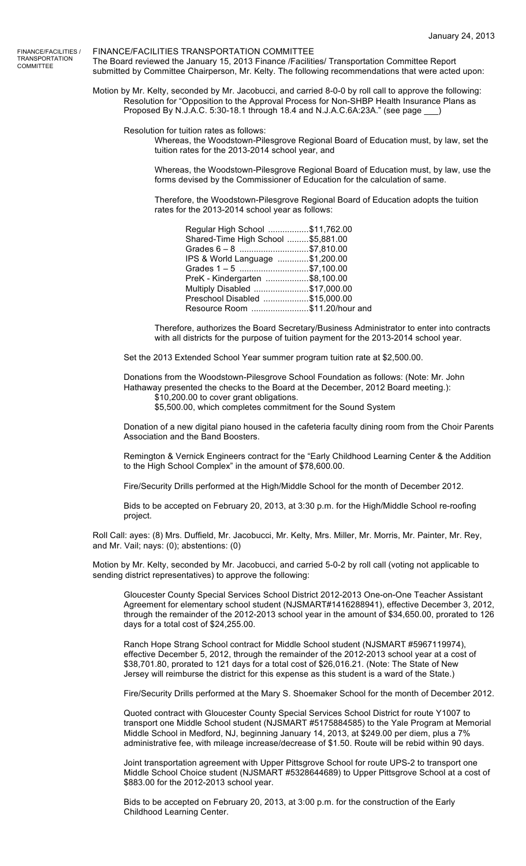FINANCE/FACILITIES / TRANSPORTATION **COMMITTEE** 

FINANCE/FACILITIES TRANSPORTATION COMMITTEE The Board reviewed the January 15, 2013 Finance /Facilities/ Transportation Committee Report submitted by Committee Chairperson, Mr. Kelty. The following recommendations that were acted upon:

Motion by Mr. Kelty, seconded by Mr. Jacobucci, and carried 8-0-0 by roll call to approve the following: Resolution for "Opposition to the Approval Process for Non-SHBP Health Insurance Plans as Proposed By N.J.A.C. 5:30-18.1 through 18.4 and N.J.A.C.6A:23A." (see page \_

Resolution for tuition rates as follows:

Whereas, the Woodstown-Pilesgrove Regional Board of Education must, by law, set the tuition rates for the 2013-2014 school year, and

Whereas, the Woodstown-Pilesgrove Regional Board of Education must, by law, use the forms devised by the Commissioner of Education for the calculation of same.

Therefore, the Woodstown-Pilesgrove Regional Board of Education adopts the tuition rates for the 2013-2014 school year as follows:

| Regular High School \$11,762.00     |  |
|-------------------------------------|--|
| Shared-Time High School  \$5,881.00 |  |
| Grades 6 - 8 \$7,810.00             |  |
| IPS & World Language \$1,200.00     |  |
| Grades 1-5 \$7,100.00               |  |
| PreK - Kindergarten \$8,100.00      |  |
| Multiply Disabled \$17,000.00       |  |
| Preschool Disabled \$15,000.00      |  |
| Resource Room \$11.20/hour and      |  |

Therefore, authorizes the Board Secretary/Business Administrator to enter into contracts with all districts for the purpose of tuition payment for the 2013-2014 school year.

Set the 2013 Extended School Year summer program tuition rate at \$2,500.00.

Donations from the Woodstown-Pilesgrove School Foundation as follows: (Note: Mr. John Hathaway presented the checks to the Board at the December, 2012 Board meeting.):

\$10,200.00 to cover grant obligations.

\$5,500.00, which completes commitment for the Sound System

Donation of a new digital piano housed in the cafeteria faculty dining room from the Choir Parents Association and the Band Boosters.

Remington & Vernick Engineers contract for the "Early Childhood Learning Center & the Addition to the High School Complex" in the amount of \$78,600.00.

Fire/Security Drills performed at the High/Middle School for the month of December 2012.

Bids to be accepted on February 20, 2013, at 3:30 p.m. for the High/Middle School re-roofing project.

Roll Call: ayes: (8) Mrs. Duffield, Mr. Jacobucci, Mr. Kelty, Mrs. Miller, Mr. Morris, Mr. Painter, Mr. Rey, and Mr. Vail; nays: (0); abstentions: (0)

Motion by Mr. Kelty, seconded by Mr. Jacobucci, and carried 5-0-2 by roll call (voting not applicable to sending district representatives) to approve the following:

Gloucester County Special Services School District 2012-2013 One-on-One Teacher Assistant Agreement for elementary school student (NJSMART#1416288941), effective December 3, 2012, through the remainder of the 2012-2013 school year in the amount of \$34,650.00, prorated to 126 days for a total cost of \$24,255.00.

Ranch Hope Strang School contract for Middle School student (NJSMART #5967119974), effective December 5, 2012, through the remainder of the 2012-2013 school year at a cost of \$38,701.80, prorated to 121 days for a total cost of \$26,016.21. (Note: The State of New Jersey will reimburse the district for this expense as this student is a ward of the State.)

Fire/Security Drills performed at the Mary S. Shoemaker School for the month of December 2012.

Quoted contract with Gloucester County Special Services School District for route Y1007 to transport one Middle School student (NJSMART #5175884585) to the Yale Program at Memorial Middle School in Medford, NJ, beginning January 14, 2013, at \$249.00 per diem, plus a 7% administrative fee, with mileage increase/decrease of \$1.50. Route will be rebid within 90 days.

Joint transportation agreement with Upper Pittsgrove School for route UPS-2 to transport one Middle School Choice student (NJSMART #5328644689) to Upper Pittsgrove School at a cost of \$883.00 for the 2012-2013 school year.

Bids to be accepted on February 20, 2013, at 3:00 p.m. for the construction of the Early Childhood Learning Center.